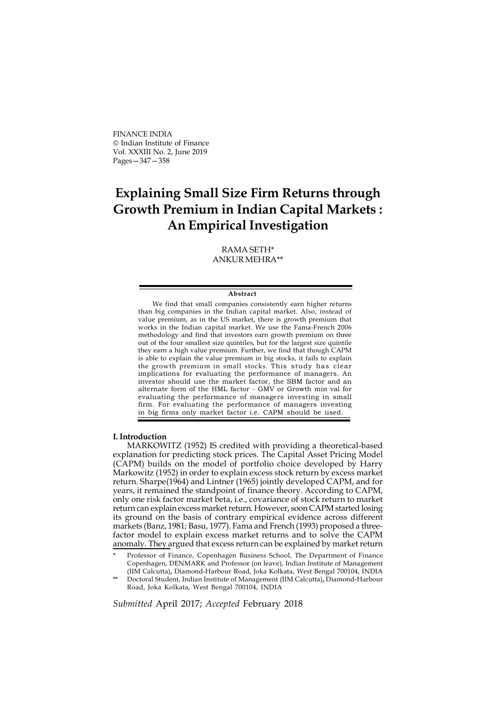FINANCE INDIA Indian Institute of Finance Vol. XXXIII No. 2, June 2019 Pages—347—358

# Explaining Small Size Firm Returns through Growth Premium in Indian Capital Markets : An Empirical Investigation

RAMA SETH\* ANKUR MEHRA\*\*

#### Abstract

We find that small companies consistently earn higher returns than big companies in the Indian capital market. Also, instead of value premium, as in the US market, there is growth premium that works in the Indian capital market. We use the Fama-French 2006 methodology and find that investors earn growth premium on three out of the four smallest size quintiles, but for the largest size quintile they earn a high value premium. Further, we find that though CAPM is able to explain the value premium in big stocks, it fails to explain the growth premium in small stocks. This study has clear implications for evaluating the performance of managers. An investor should use the market factor, the SBM factor and an alternate form of the HML factor - GMV or Growth min val for evaluating the performance of managers investing in small firm. For evaluating the performance of managers investing in big firms only market factor i.e. CAPM should be used.

### I. Introduction

MARKOWITZ (1952) IS credited with providing a theoretical-based explanation for predicting stock prices. The Capital Asset Pricing Model (CAPM) builds on the model of portfolio choice developed by Harry Markowitz (1952) in order to explain excess stock return by excess market return. Sharpe(1964) and Lintner (1965) jointly developed CAPM, and for years, it remained the standpoint of finance theory. According to CAPM, only one risk factor market beta, i.e., covariance of stock return to market return can explain excess market return. However, soon CAPM started losing its ground on the basis of contrary empirical evidence across different markets (Banz, 1981; Basu, 1977). Fama and French (1993) proposed a threefactor model to explain excess market returns and to solve the CAPM anomaly. They argued that excess return can be explained by market return

Submitted April 2017; Accepted February 2018

Professor of Finance, Copenhagen Business School, The Department of Finance Copenhagen, DENMARK and Professor (on leave), Indian Institute of Management (IIM Calcutta), Diamond-Harbour Road, Joka Kolkata, West Bengal 700104, INDIA

<sup>\*\*</sup> Doctoral Student, Indian Institute of Management (IIM Calcutta), Diamond-Harbour Road, Joka Kolkata, West Bengal 700104, INDIA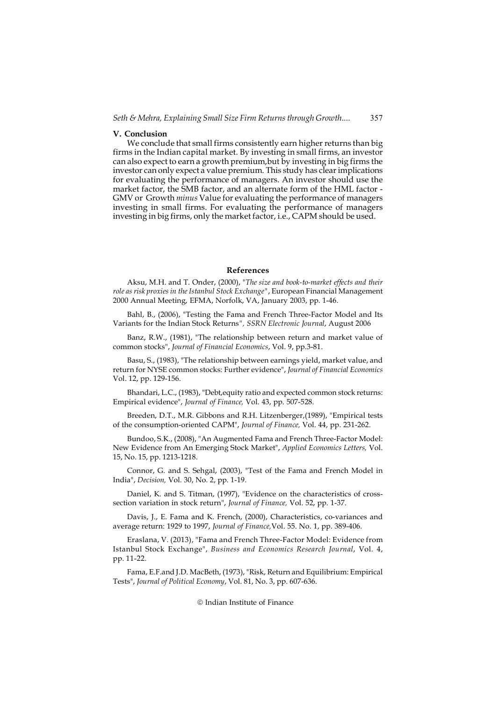### V. Conclusion

We conclude that small firms consistently earn higher returns than big firms in the Indian capital market. By investing in small firms, an investor can also expect to earn a growth premium,but by investing in big firms the investor can only expect a value premium. This study has clear implications for evaluating the performance of managers. An investor should use the market factor, the SMB factor, and an alternate form of the HML factor - GMV or Growth minus Value for evaluating the performance of managers investing in small firms. For evaluating the performance of managers investing in big firms, only the market factor, i.e., CAPM should be used.

## References

Aksu, M.H. and T. Onder, (2000), "The size and book-to-market effects and their role as risk proxies in the Istanbul Stock Exchange", European Financial Management 2000 Annual Meeting, EFMA, Norfolk, VA, January 2003, pp. 1-46.

Bahl, B., (2006), "Testing the Fama and French Three-Factor Model and Its Variants for the Indian Stock Returns", SSRN Electronic Journal, August 2006

Banz, R.W., (1981), "The relationship between return and market value of common stocks", Journal of Financial Economics, Vol. 9, pp.3-81.

Basu, S., (1983), "The relationship between earnings yield, market value, and return for NYSE common stocks: Further evidence", Journal of Financial Economics Vol. 12, pp. 129-156.

Bhandari, L.C., (1983), "Debt,equity ratio and expected common stock returns: Empirical evidence", Journal of Finance, Vol. 43, pp. 507-528.

Breeden, D.T., M.R. Gibbons and R.H. Litzenberger,(1989), "Empirical tests of the consumption-oriented CAPM", Journal of Finance, Vol. 44, pp. 231-262.

Bundoo, S.K., (2008), "An Augmented Fama and French Three-Factor Model: New Evidence from An Emerging Stock Market", Applied Economics Letters, Vol. 15, No. 15, pp. 1213-1218.

Connor, G. and S. Sehgal, (2003), "Test of the Fama and French Model in India", Decision, Vol. 30, No. 2, pp. 1-19.

Daniel, K. and S. Titman, (1997), "Evidence on the characteristics of crosssection variation in stock return", Journal of Finance, Vol. 52, pp. 1-37.

Davis, J., E. Fama and K. French, (2000), Characteristics, co-variances and average return: 1929 to 1997, Journal of Finance,Vol. 55. No. 1, pp. 389-406.

Eraslana, V. (2013), "Fama and French Three-Factor Model: Evidence from Istanbul Stock Exchange", Business and Economics Research Journal, Vol. 4, pp. 11-22.

Fama, E.F.and J.D. MacBeth, (1973), "Risk, Return and Equilibrium: Empirical Tests", Journal of Political Economy, Vol. 81, No. 3, pp. 607-636.

#### © Indian Institute of Finance